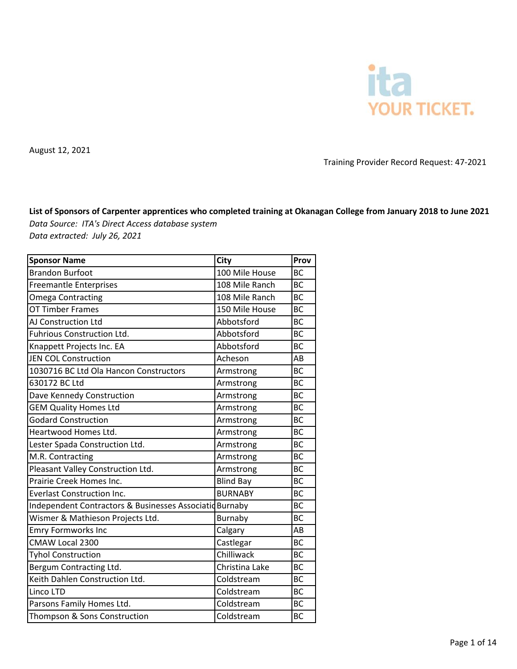

August 12, 2021

Training Provider Record Request: 47-2021

## **List of Sponsors of Carpenter apprentices who completed training at Okanagan College from January 2018 to June 2021**

| <b>Sponsor Name</b>                                     | City             | Prov      |
|---------------------------------------------------------|------------------|-----------|
| <b>Brandon Burfoot</b>                                  | 100 Mile House   | <b>BC</b> |
| <b>Freemantle Enterprises</b>                           | 108 Mile Ranch   | <b>BC</b> |
| <b>Omega Contracting</b>                                | 108 Mile Ranch   | <b>BC</b> |
| <b>OT Timber Frames</b>                                 | 150 Mile House   | <b>BC</b> |
| AJ Construction Ltd                                     | Abbotsford       | <b>BC</b> |
| <b>Fuhrious Construction Ltd.</b>                       | Abbotsford       | <b>BC</b> |
| Knappett Projects Inc. EA                               | Abbotsford       | <b>BC</b> |
| <b>JEN COL Construction</b>                             | Acheson          | AB        |
| 1030716 BC Ltd Ola Hancon Constructors                  | Armstrong        | <b>BC</b> |
| 630172 BC Ltd                                           | Armstrong        | <b>BC</b> |
| Dave Kennedy Construction                               | Armstrong        | <b>BC</b> |
| <b>GEM Quality Homes Ltd</b>                            | Armstrong        | <b>BC</b> |
| <b>Godard Construction</b>                              | Armstrong        | <b>BC</b> |
| Heartwood Homes Ltd.                                    | Armstrong        | <b>BC</b> |
| Lester Spada Construction Ltd.                          | Armstrong        | <b>BC</b> |
| M.R. Contracting                                        | Armstrong        | <b>BC</b> |
| Pleasant Valley Construction Ltd.                       | Armstrong        | <b>BC</b> |
| Prairie Creek Homes Inc.                                | <b>Blind Bay</b> | BC        |
| <b>Everlast Construction Inc.</b>                       | <b>BURNABY</b>   | <b>BC</b> |
| Independent Contractors & Businesses Associatid Burnaby |                  | <b>BC</b> |
| Wismer & Mathieson Projects Ltd.                        | Burnaby          | <b>BC</b> |
| <b>Emry Formworks Inc</b>                               | Calgary          | AB        |
| CMAW Local 2300                                         | Castlegar        | <b>BC</b> |
| <b>Tyhol Construction</b>                               | Chilliwack       | <b>BC</b> |
| Bergum Contracting Ltd.                                 | Christina Lake   | <b>BC</b> |
| Keith Dahlen Construction Ltd.                          | Coldstream       | <b>BC</b> |
| Linco LTD                                               | Coldstream       | <b>BC</b> |
| Parsons Family Homes Ltd.                               | Coldstream       | <b>BC</b> |
| Thompson & Sons Construction                            | Coldstream       | <b>BC</b> |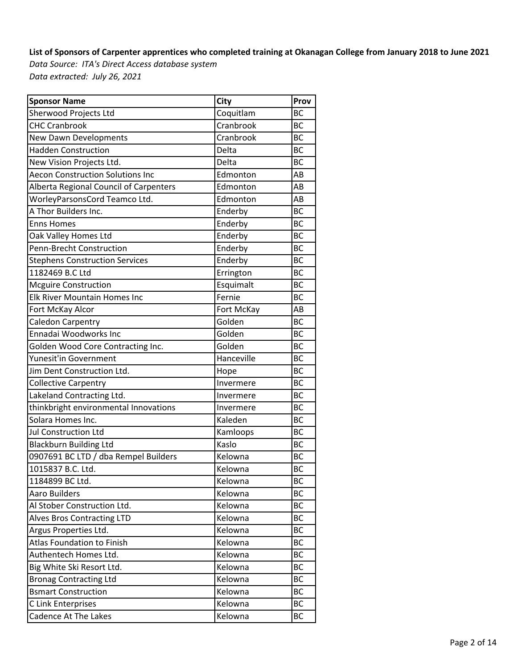| <b>Sponsor Name</b>                     | City       | Prov      |
|-----------------------------------------|------------|-----------|
| Sherwood Projects Ltd                   | Coquitlam  | <b>BC</b> |
| <b>CHC Cranbrook</b>                    | Cranbrook  | <b>BC</b> |
| New Dawn Developments                   | Cranbrook  | <b>BC</b> |
| <b>Hadden Construction</b>              | Delta      | <b>BC</b> |
| New Vision Projects Ltd.                | Delta      | <b>BC</b> |
| <b>Aecon Construction Solutions Inc</b> | Edmonton   | AB        |
| Alberta Regional Council of Carpenters  | Edmonton   | AB        |
| WorleyParsonsCord Teamco Ltd.           | Edmonton   | AB        |
| A Thor Builders Inc.                    | Enderby    | <b>BC</b> |
| <b>Enns Homes</b>                       | Enderby    | <b>BC</b> |
| Oak Valley Homes Ltd                    | Enderby    | <b>BC</b> |
| Penn-Brecht Construction                | Enderby    | <b>BC</b> |
| <b>Stephens Construction Services</b>   | Enderby    | <b>BC</b> |
| 1182469 B.C Ltd                         | Errington  | <b>BC</b> |
| <b>Mcguire Construction</b>             | Esquimalt  | <b>BC</b> |
| <b>Elk River Mountain Homes Inc</b>     | Fernie     | <b>BC</b> |
| Fort McKay Alcor                        | Fort McKay | AB        |
| Caledon Carpentry                       | Golden     | <b>BC</b> |
| Ennadai Woodworks Inc                   | Golden     | BC        |
| Golden Wood Core Contracting Inc.       | Golden     | <b>BC</b> |
| Yunesit'in Government                   | Hanceville | <b>BC</b> |
| Jim Dent Construction Ltd.              | Hope       | BC        |
| <b>Collective Carpentry</b>             | Invermere  | <b>BC</b> |
| Lakeland Contracting Ltd.               | Invermere  | <b>BC</b> |
| thinkbright environmental Innovations   | Invermere  | <b>BC</b> |
| Solara Homes Inc.                       | Kaleden    | <b>BC</b> |
| <b>Jul Construction Ltd</b>             | Kamloops   | <b>BC</b> |
| <b>Blackburn Building Ltd</b>           | Kaslo      | <b>BC</b> |
| 0907691 BC LTD / dba Rempel Builders    | Kelowna    | <b>BC</b> |
| 1015837 B.C. Ltd.                       | Kelowna    | <b>BC</b> |
| 1184899 BC Ltd.                         | Kelowna    | <b>BC</b> |
| <b>Aaro Builders</b>                    | Kelowna    | <b>BC</b> |
| Al Stober Construction Ltd.             | Kelowna    | <b>BC</b> |
| Alves Bros Contracting LTD              | Kelowna    | <b>BC</b> |
| Argus Properties Ltd.                   | Kelowna    | <b>BC</b> |
| Atlas Foundation to Finish              | Kelowna    | <b>BC</b> |
| Authentech Homes Ltd.                   | Kelowna    | <b>BC</b> |
| Big White Ski Resort Ltd.               | Kelowna    | BC        |
| <b>Bronag Contracting Ltd</b>           | Kelowna    | BC        |
| <b>Bsmart Construction</b>              | Kelowna    | BC        |
| C Link Enterprises                      | Kelowna    | ВC        |
| <b>Cadence At The Lakes</b>             | Kelowna    | <b>BC</b> |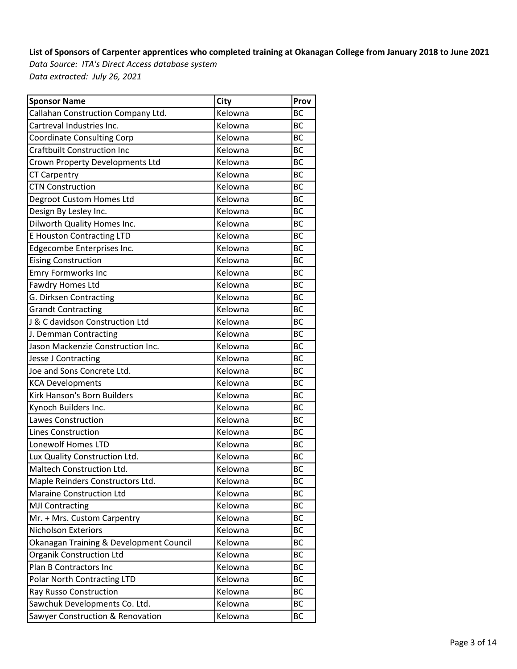| <b>Sponsor Name</b>                     | City    | Prov      |
|-----------------------------------------|---------|-----------|
| Callahan Construction Company Ltd.      | Kelowna | <b>BC</b> |
| Cartreval Industries Inc.               | Kelowna | <b>BC</b> |
| <b>Coordinate Consulting Corp</b>       | Kelowna | <b>BC</b> |
| <b>Craftbuilt Construction Inc</b>      | Kelowna | <b>BC</b> |
| Crown Property Developments Ltd         | Kelowna | <b>BC</b> |
| <b>CT Carpentry</b>                     | Kelowna | BC        |
| <b>CTN Construction</b>                 | Kelowna | <b>BC</b> |
| Degroot Custom Homes Ltd                | Kelowna | <b>BC</b> |
| Design By Lesley Inc.                   | Kelowna | <b>BC</b> |
| Dilworth Quality Homes Inc.             | Kelowna | <b>BC</b> |
| <b>E Houston Contracting LTD</b>        | Kelowna | <b>BC</b> |
| Edgecombe Enterprises Inc.              | Kelowna | <b>BC</b> |
| <b>Eising Construction</b>              | Kelowna | <b>BC</b> |
| <b>Emry Formworks Inc</b>               | Kelowna | <b>BC</b> |
| Fawdry Homes Ltd                        | Kelowna | <b>BC</b> |
| G. Dirksen Contracting                  | Kelowna | <b>BC</b> |
| <b>Grandt Contracting</b>               | Kelowna | <b>BC</b> |
| J & C davidson Construction Ltd         | Kelowna | <b>BC</b> |
| J. Demman Contracting                   | Kelowna | <b>BC</b> |
| Jason Mackenzie Construction Inc.       | Kelowna | <b>BC</b> |
| Jesse J Contracting                     | Kelowna | <b>BC</b> |
| Joe and Sons Concrete Ltd.              | Kelowna | <b>BC</b> |
| <b>KCA Developments</b>                 | Kelowna | <b>BC</b> |
| Kirk Hanson's Born Builders             | Kelowna | <b>BC</b> |
| Kynoch Builders Inc.                    | Kelowna | <b>BC</b> |
| <b>Lawes Construction</b>               | Kelowna | <b>BC</b> |
| <b>Lines Construction</b>               | Kelowna | <b>BC</b> |
| <b>Lonewolf Homes LTD</b>               | Kelowna | <b>BC</b> |
| Lux Quality Construction Ltd.           | Kelowna | <b>BC</b> |
| Maltech Construction Ltd.               | Kelowna | <b>BC</b> |
| Maple Reinders Constructors Ltd.        | Kelowna | <b>BC</b> |
| <b>Maraine Construction Ltd</b>         | Kelowna | <b>BC</b> |
| <b>MJI Contracting</b>                  | Kelowna | BC        |
| Mr. + Mrs. Custom Carpentry             | Kelowna | BC        |
| <b>Nicholson Exteriors</b>              | Kelowna | BC        |
| Okanagan Training & Development Council | Kelowna | BC        |
| Organik Construction Ltd                | Kelowna | <b>BC</b> |
| Plan B Contractors Inc                  | Kelowna | <b>BC</b> |
| Polar North Contracting LTD             | Kelowna | <b>BC</b> |
| Ray Russo Construction                  | Kelowna | <b>BC</b> |
| Sawchuk Developments Co. Ltd.           | Kelowna | BC        |
| Sawyer Construction & Renovation        | Kelowna | BC        |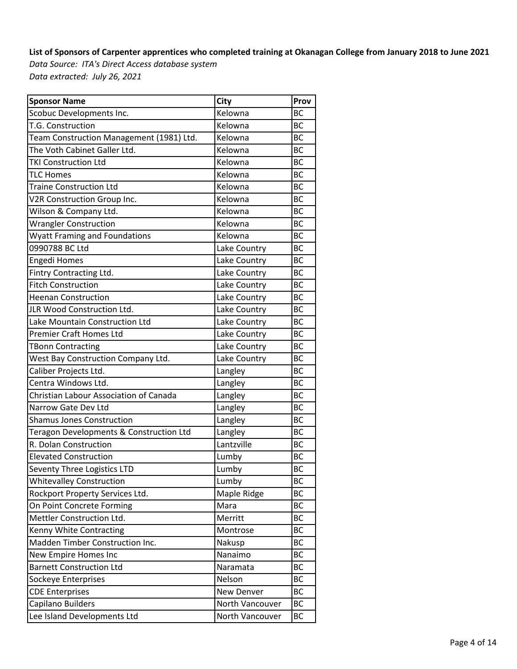| <b>Sponsor Name</b>                      | City            | Prov      |
|------------------------------------------|-----------------|-----------|
| Scobuc Developments Inc.                 | Kelowna         | <b>BC</b> |
| <b>T.G. Construction</b>                 | Kelowna         | <b>BC</b> |
| Team Construction Management (1981) Ltd. | Kelowna         | <b>BC</b> |
| The Voth Cabinet Galler Ltd.             | Kelowna         | <b>BC</b> |
| <b>TKI Construction Ltd</b>              | Kelowna         | <b>BC</b> |
| <b>TLC Homes</b>                         | Kelowna         | <b>BC</b> |
| <b>Traine Construction Ltd</b>           | Kelowna         | <b>BC</b> |
| V2R Construction Group Inc.              | Kelowna         | <b>BC</b> |
| Wilson & Company Ltd.                    | Kelowna         | <b>BC</b> |
| <b>Wrangler Construction</b>             | Kelowna         | <b>BC</b> |
| <b>Wyatt Framing and Foundations</b>     | Kelowna         | <b>BC</b> |
| 0990788 BC Ltd                           | Lake Country    | <b>BC</b> |
| <b>Engedi Homes</b>                      | Lake Country    | <b>BC</b> |
| Fintry Contracting Ltd.                  | Lake Country    | <b>BC</b> |
| <b>Fitch Construction</b>                | Lake Country    | <b>BC</b> |
| <b>Heenan Construction</b>               | Lake Country    | <b>BC</b> |
| JLR Wood Construction Ltd.               | Lake Country    | <b>BC</b> |
| Lake Mountain Construction Ltd           | Lake Country    | <b>BC</b> |
| <b>Premier Craft Homes Ltd</b>           | Lake Country    | <b>BC</b> |
| <b>TBonn Contracting</b>                 | Lake Country    | <b>BC</b> |
| West Bay Construction Company Ltd.       | Lake Country    | <b>BC</b> |
| Caliber Projects Ltd.                    | Langley         | BC        |
| Centra Windows Ltd.                      | Langley         | <b>BC</b> |
| Christian Labour Association of Canada   | Langley         | <b>BC</b> |
| Narrow Gate Dev Ltd                      | Langley         | <b>BC</b> |
| <b>Shamus Jones Construction</b>         | Langley         | <b>BC</b> |
| Teragon Developments & Construction Ltd  | Langley         | <b>BC</b> |
| R. Dolan Construction                    | Lantzville      | <b>BC</b> |
| <b>Elevated Construction</b>             | Lumby           | <b>BC</b> |
| Seventy Three Logistics LTD              | Lumby           | <b>BC</b> |
| <b>Whitevalley Construction</b>          | Lumby           | <b>BC</b> |
| Rockport Property Services Ltd.          | Maple Ridge     | <b>BC</b> |
| On Point Concrete Forming                | Mara            | <b>BC</b> |
| Mettler Construction Ltd.                | Merritt         | BC        |
| Kenny White Contracting                  | Montrose        | BC        |
| Madden Timber Construction Inc.          | Nakusp          | BC        |
| New Empire Homes Inc                     | Nanaimo         | <b>BC</b> |
| <b>Barnett Construction Ltd</b>          | Naramata        | <b>BC</b> |
| Sockeye Enterprises                      | Nelson          | <b>BC</b> |
| <b>CDE Enterprises</b>                   | New Denver      | BC        |
| Capilano Builders                        | North Vancouver | BC        |
| Lee Island Developments Ltd              | North Vancouver | BC        |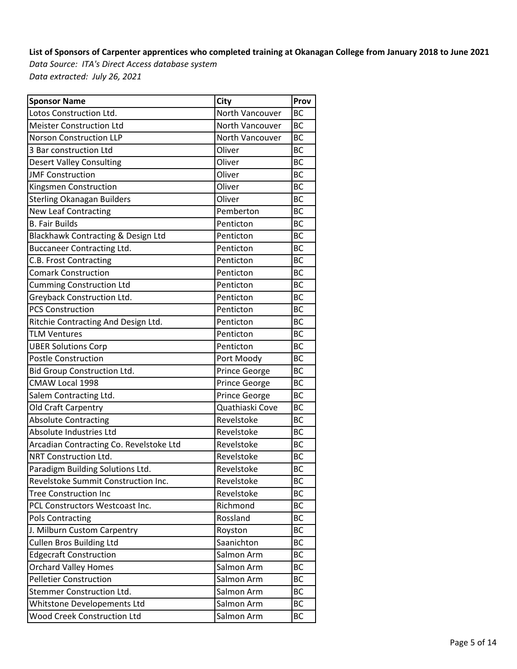| <b>Sponsor Name</b>                     | City                 | Prov      |
|-----------------------------------------|----------------------|-----------|
| Lotos Construction Ltd.                 | North Vancouver      | <b>BC</b> |
| <b>Meister Construction Ltd</b>         | North Vancouver      | <b>BC</b> |
| <b>Norson Construction LLP</b>          | North Vancouver      | BC        |
| 3 Bar construction Ltd                  | Oliver               | <b>BC</b> |
| <b>Desert Valley Consulting</b>         | Oliver               | <b>BC</b> |
| <b>JMF Construction</b>                 | Oliver               | <b>BC</b> |
| Kingsmen Construction                   | Oliver               | <b>BC</b> |
| <b>Sterling Okanagan Builders</b>       | Oliver               | <b>BC</b> |
| <b>New Leaf Contracting</b>             | Pemberton            | BC        |
| <b>B. Fair Builds</b>                   | Penticton            | <b>BC</b> |
| Blackhawk Contracting & Design Ltd      | Penticton            | <b>BC</b> |
| Buccaneer Contracting Ltd.              | Penticton            | <b>BC</b> |
| <b>C.B. Frost Contracting</b>           | Penticton            | <b>BC</b> |
| <b>Comark Construction</b>              | Penticton            | <b>BC</b> |
| <b>Cumming Construction Ltd</b>         | Penticton            | BC        |
| Greyback Construction Ltd.              | Penticton            | <b>BC</b> |
| <b>PCS Construction</b>                 | Penticton            | <b>BC</b> |
| Ritchie Contracting And Design Ltd.     | Penticton            | <b>BC</b> |
| <b>TLM Ventures</b>                     | Penticton            | <b>BC</b> |
| <b>UBER Solutions Corp</b>              | Penticton            | <b>BC</b> |
| <b>Postle Construction</b>              | Port Moody           | <b>BC</b> |
| <b>Bid Group Construction Ltd.</b>      | <b>Prince George</b> | <b>BC</b> |
| CMAW Local 1998                         | Prince George        | <b>BC</b> |
| Salem Contracting Ltd.                  | <b>Prince George</b> | <b>BC</b> |
| <b>Old Craft Carpentry</b>              | Quathiaski Cove      | ВC        |
| <b>Absolute Contracting</b>             | Revelstoke           | <b>BC</b> |
| Absolute Industries Ltd                 | Revelstoke           | <b>BC</b> |
| Arcadian Contracting Co. Revelstoke Ltd | Revelstoke           | BC        |
| <b>NRT Construction Ltd.</b>            | Revelstoke           | <b>BC</b> |
| Paradigm Building Solutions Ltd.        | Revelstoke           | <b>BC</b> |
| Revelstoke Summit Construction Inc.     | Revelstoke           | BC        |
| <b>Tree Construction Inc</b>            | Revelstoke           | ВC        |
| PCL Constructors Westcoast Inc.         | Richmond             | BC        |
| <b>Pols Contracting</b>                 | Rossland             | ВC        |
| J. Milburn Custom Carpentry             | Royston              | ВC        |
| <b>Cullen Bros Building Ltd</b>         | Saanichton           | ВC        |
| <b>Edgecraft Construction</b>           | Salmon Arm           | ВC        |
| <b>Orchard Valley Homes</b>             | Salmon Arm           | BC        |
| <b>Pelletier Construction</b>           | Salmon Arm           | BC        |
| Stemmer Construction Ltd.               | Salmon Arm           | ВC        |
| Whitstone Developements Ltd             | Salmon Arm           | ВC        |
| <b>Wood Creek Construction Ltd</b>      | Salmon Arm           | ВC        |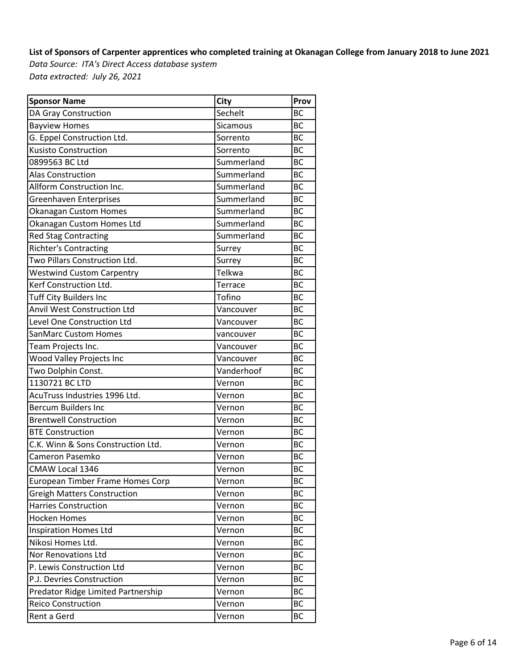| <b>Sponsor Name</b>                | City       | Prov      |
|------------------------------------|------------|-----------|
| DA Gray Construction               | Sechelt    | <b>BC</b> |
| <b>Bayview Homes</b>               | Sicamous   | <b>BC</b> |
| G. Eppel Construction Ltd.         | Sorrento   | <b>BC</b> |
| <b>Kusisto Construction</b>        | Sorrento   | <b>BC</b> |
| 0899563 BC Ltd                     | Summerland | <b>BC</b> |
| <b>Alas Construction</b>           | Summerland | <b>BC</b> |
| Allform Construction Inc.          | Summerland | <b>BC</b> |
| Greenhaven Enterprises             | Summerland | BC        |
| <b>Okanagan Custom Homes</b>       | Summerland | <b>BC</b> |
| Okanagan Custom Homes Ltd          | Summerland | <b>BC</b> |
| <b>Red Stag Contracting</b>        | Summerland | <b>BC</b> |
| <b>Richter's Contracting</b>       | Surrey     | <b>BC</b> |
| Two Pillars Construction Ltd.      | Surrey     | <b>BC</b> |
| <b>Westwind Custom Carpentry</b>   | Telkwa     | <b>BC</b> |
| Kerf Construction Ltd.             | Terrace    | <b>BC</b> |
| <b>Tuff City Builders Inc</b>      | Tofino     | <b>BC</b> |
| <b>Anvil West Construction Ltd</b> | Vancouver  | <b>BC</b> |
| Level One Construction Ltd         | Vancouver  | <b>BC</b> |
| <b>SanMarc Custom Homes</b>        | vancouver  | <b>BC</b> |
| Team Projects Inc.                 | Vancouver  | <b>BC</b> |
| Wood Valley Projects Inc           | Vancouver  | <b>BC</b> |
| Two Dolphin Const.                 | Vanderhoof | <b>BC</b> |
| 1130721 BC LTD                     | Vernon     | <b>BC</b> |
| AcuTruss Industries 1996 Ltd.      | Vernon     | <b>BC</b> |
| <b>Bercum Builders Inc</b>         | Vernon     | <b>BC</b> |
| <b>Brentwell Construction</b>      | Vernon     | <b>BC</b> |
| <b>BTE Construction</b>            | Vernon     | <b>BC</b> |
| C.K. Winn & Sons Construction Ltd. | Vernon     | <b>BC</b> |
| Cameron Pasemko                    | Vernon     | <b>BC</b> |
| CMAW Local 1346                    | Vernon     | <b>BC</b> |
| European Timber Frame Homes Corp   | Vernon     | <b>BC</b> |
| <b>Greigh Matters Construction</b> | Vernon     | <b>BC</b> |
| <b>Harries Construction</b>        | Vernon     | BC        |
| <b>Hocken Homes</b>                | Vernon     | BC        |
| <b>Inspiration Homes Ltd</b>       | Vernon     | <b>BC</b> |
| Nikosi Homes Ltd.                  | Vernon     | <b>BC</b> |
| Nor Renovations Ltd                | Vernon     | BC        |
| P. Lewis Construction Ltd          | Vernon     | <b>BC</b> |
| P.J. Devries Construction          | Vernon     | <b>BC</b> |
| Predator Ridge Limited Partnership | Vernon     | BC        |
| Reico Construction                 | Vernon     | BC        |
| Rent a Gerd                        | Vernon     | <b>BC</b> |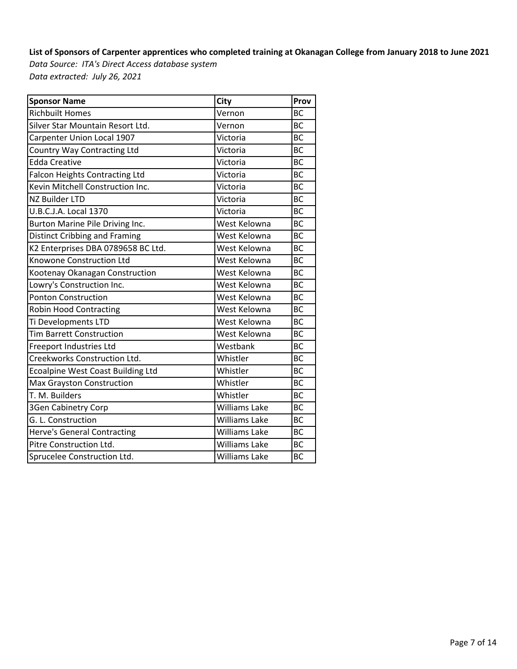| <b>Sponsor Name</b>                      | City                 | Prov      |
|------------------------------------------|----------------------|-----------|
| <b>Richbuilt Homes</b>                   | Vernon               | <b>BC</b> |
| Silver Star Mountain Resort Ltd.         | Vernon               | <b>BC</b> |
| Carpenter Union Local 1907               | Victoria             | <b>BC</b> |
| Country Way Contracting Ltd              | Victoria             | <b>BC</b> |
| <b>Edda Creative</b>                     | Victoria             | <b>BC</b> |
| Falcon Heights Contracting Ltd           | Victoria             | <b>BC</b> |
| Kevin Mitchell Construction Inc.         | Victoria             | <b>BC</b> |
| NZ Builder LTD                           | Victoria             | <b>BC</b> |
| U.B.C.J.A. Local 1370                    | Victoria             | <b>BC</b> |
| Burton Marine Pile Driving Inc.          | West Kelowna         | <b>BC</b> |
| <b>Distinct Cribbing and Framing</b>     | West Kelowna         | <b>BC</b> |
| K2 Enterprises DBA 0789658 BC Ltd.       | West Kelowna         | <b>BC</b> |
| Knowone Construction Ltd                 | West Kelowna         | <b>BC</b> |
| Kootenay Okanagan Construction           | West Kelowna         | <b>BC</b> |
| Lowry's Construction Inc.                | West Kelowna         | <b>BC</b> |
| <b>Ponton Construction</b>               | West Kelowna         | <b>BC</b> |
| <b>Robin Hood Contracting</b>            | West Kelowna         | <b>BC</b> |
| Ti Developments LTD                      | West Kelowna         | <b>BC</b> |
| <b>Tim Barrett Construction</b>          | West Kelowna         | <b>BC</b> |
| Freeport Industries Ltd                  | Westbank             | <b>BC</b> |
| Creekworks Construction Ltd.             | Whistler             | <b>BC</b> |
| <b>Ecoalpine West Coast Building Ltd</b> | Whistler             | <b>BC</b> |
| Max Grayston Construction                | Whistler             | <b>BC</b> |
| T. M. Builders                           | Whistler             | <b>BC</b> |
| 3Gen Cabinetry Corp                      | Williams Lake        | <b>BC</b> |
| G. L. Construction                       | <b>Williams Lake</b> | <b>BC</b> |
| <b>Herve's General Contracting</b>       | <b>Williams Lake</b> | <b>BC</b> |
| Pitre Construction Ltd.                  | <b>Williams Lake</b> | <b>BC</b> |
| Sprucelee Construction Ltd.              | Williams Lake        | <b>BC</b> |
|                                          |                      |           |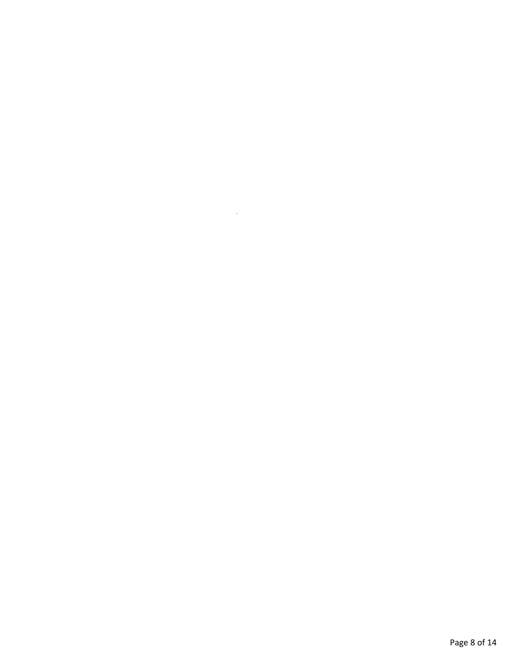Page 8 of 14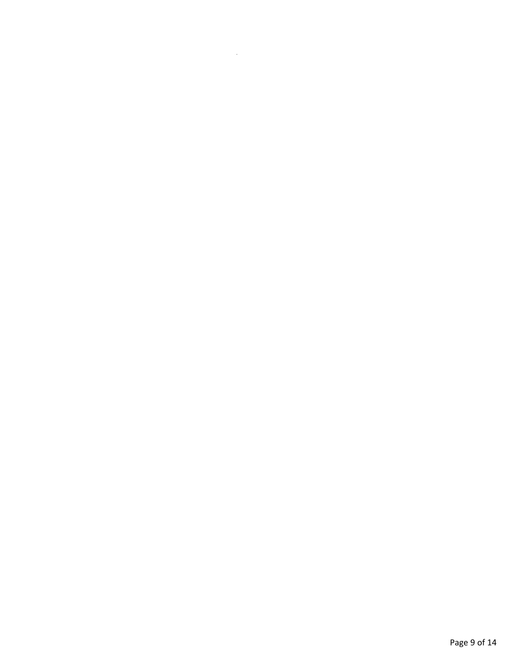Page 9 of 14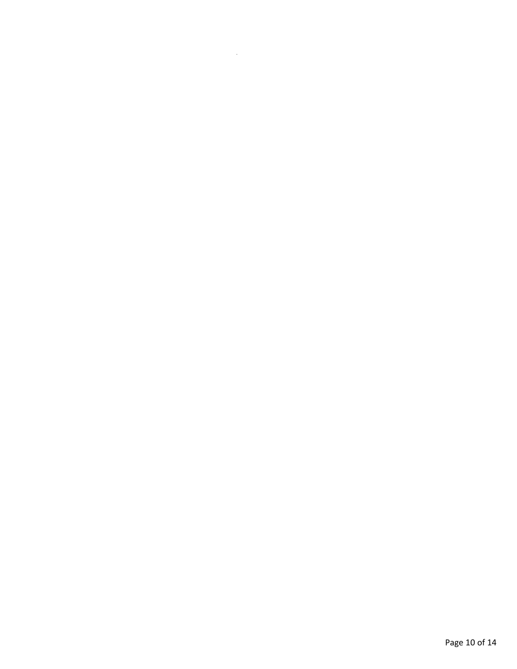Page 10 of 14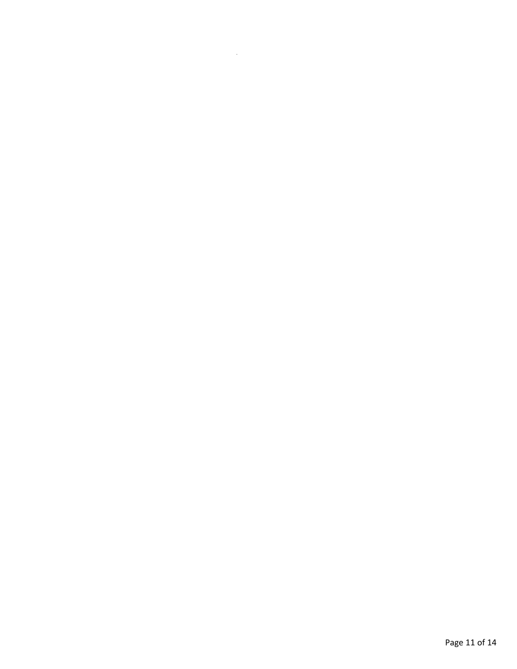Page 11 of 14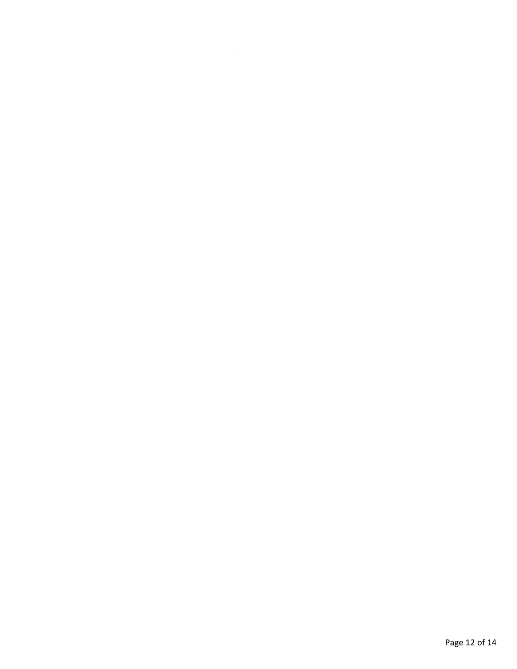Page 12 of 14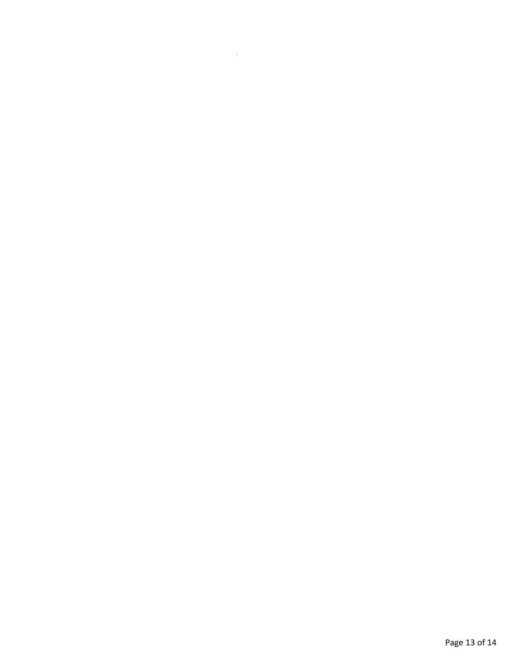Page 13 of 14